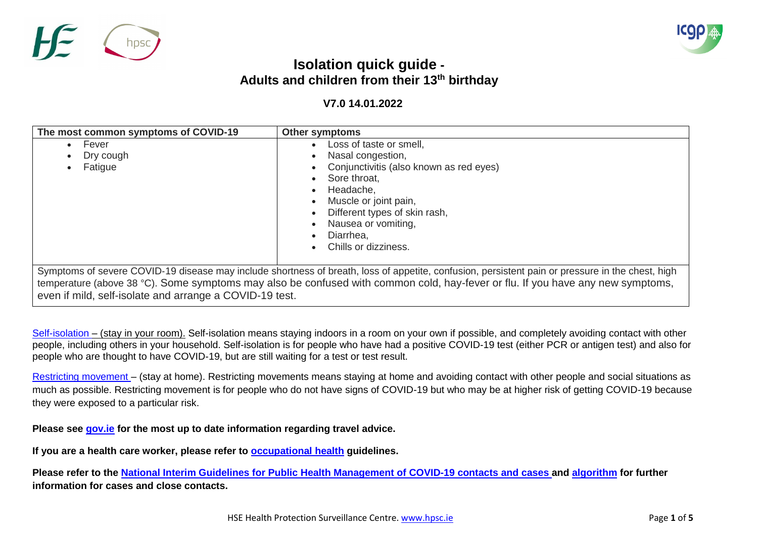



## **Isolation quick guide - Adults and children from their 13 th birthday**

## **V7.0 14.01.2022**

| The most common symptoms of COVID-19                    | <b>Other symptoms</b>                                                                                                                                                                                                                                                               |
|---------------------------------------------------------|-------------------------------------------------------------------------------------------------------------------------------------------------------------------------------------------------------------------------------------------------------------------------------------|
| Fever<br>Dry cough<br>Fatigue                           | Loss of taste or smell,<br>Nasal congestion,<br>Conjunctivitis (also known as red eyes)<br>Sore throat,<br>Headache,<br>Muscle or joint pain,<br>Different types of skin rash,<br>Nausea or vomiting,<br>Diarrhea,<br>Chills or dizziness.                                          |
| even if mild, self-isolate and arrange a COVID-19 test. | Symptoms of severe COVID-19 disease may include shortness of breath, loss of appetite, confusion, persistent pain or pressure in the chest, high<br>temperature (above 38 °C). Some symptoms may also be confused with common cold, hay-fever or flu. If you have any new symptoms, |

[Self-isolation](https://www2.hse.ie/conditions/coronavirus/managing-coronavirus-at-home/self-isolation.html) – (stay in your room). Self-isolation means staying indoors in a room on your own if possible, and completely avoiding contact with other people, including others in your household. Self-isolation is for people who have had a positive COVID-19 test (either PCR or antigen test) and also for people who are thought to have COVID-19, but are still waiting for a test or test result.

[Restricting movement](https://www2.hse.ie/conditions/coronavirus/managing-coronavirus-at-home/if-you-live-with-someone-who-has-coronavirus.html) – (stay at home). Restricting movements means staying at home and avoiding contact with other people and social situations as much as possible. Restricting movement is for people who do not have signs of COVID-19 but who may be at higher risk of getting COVID-19 because they were exposed to a particular risk.

**Please see [gov.ie](https://www.gov.ie/en/campaigns/75d92-covid-19-travel-advice/) for the most up to date information regarding travel advice.**

**If you are a health care worker, please refer to [occupational](https://www.hse.ie/eng/staff/workplace-health-and-wellbeing-unit/covid-19-guidance/) health guidelines.**

**Please refer to the [National Interim Guidelines for Public Health Management of COVID-19 contacts and](https://www.hpsc.ie/a-z/respiratory/coronavirus/novelcoronavirus/guidance/contacttracingguidance/National%20Interim%20Guidance%20for%20contact%20tracing.pdf) cases and [algorithm](https://www.hpsc.ie/a-z/respiratory/coronavirus/novelcoronavirus/guidance/newupdatedguidance/) for further information for cases and close contacts.**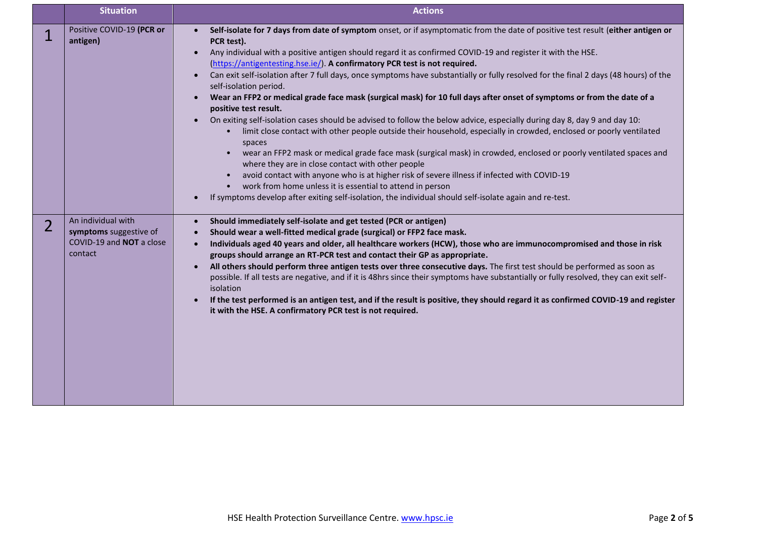|                | <b>Situation</b>                                                                    | <b>Actions</b>                                                                                                                                                                                                                                                                                                                                                                                                                                                                                                                                                                                                                                                                                                                                                                                                                                                                                                                                                                                                                                                                                                                                                                                                                                                                      |
|----------------|-------------------------------------------------------------------------------------|-------------------------------------------------------------------------------------------------------------------------------------------------------------------------------------------------------------------------------------------------------------------------------------------------------------------------------------------------------------------------------------------------------------------------------------------------------------------------------------------------------------------------------------------------------------------------------------------------------------------------------------------------------------------------------------------------------------------------------------------------------------------------------------------------------------------------------------------------------------------------------------------------------------------------------------------------------------------------------------------------------------------------------------------------------------------------------------------------------------------------------------------------------------------------------------------------------------------------------------------------------------------------------------|
| 1              | Positive COVID-19 (PCR or<br>antigen)                                               | Self-isolate for 7 days from date of symptom onset, or if asymptomatic from the date of positive test result (either antigen or<br>$\bullet$<br>PCR test).<br>Any individual with a positive antigen should regard it as confirmed COVID-19 and register it with the HSE.<br>$\bullet$<br>(https://antigentesting.hse.ie/). A confirmatory PCR test is not required.<br>Can exit self-isolation after 7 full days, once symptoms have substantially or fully resolved for the final 2 days (48 hours) of the<br>$\bullet$<br>self-isolation period.<br>Wear an FFP2 or medical grade face mask (surgical mask) for 10 full days after onset of symptoms or from the date of a<br>positive test result.<br>On exiting self-isolation cases should be advised to follow the below advice, especially during day 8, day 9 and day 10:<br>$\bullet$<br>limit close contact with other people outside their household, especially in crowded, enclosed or poorly ventilated<br>$\bullet$<br>spaces<br>wear an FFP2 mask or medical grade face mask (surgical mask) in crowded, enclosed or poorly ventilated spaces and<br>$\bullet$<br>where they are in close contact with other people<br>avoid contact with anyone who is at higher risk of severe illness if infected with COVID-19 |
|                |                                                                                     | work from home unless it is essential to attend in person<br>If symptoms develop after exiting self-isolation, the individual should self-isolate again and re-test.                                                                                                                                                                                                                                                                                                                                                                                                                                                                                                                                                                                                                                                                                                                                                                                                                                                                                                                                                                                                                                                                                                                |
| $\overline{2}$ | An individual with<br>symptoms suggestive of<br>COVID-19 and NOT a close<br>contact | Should immediately self-isolate and get tested (PCR or antigen)<br>$\bullet$<br>Should wear a well-fitted medical grade (surgical) or FFP2 face mask.<br>$\bullet$<br>Individuals aged 40 years and older, all healthcare workers (HCW), those who are immunocompromised and those in risk<br>$\bullet$<br>groups should arrange an RT-PCR test and contact their GP as appropriate.<br>All others should perform three antigen tests over three consecutive days. The first test should be performed as soon as<br>$\bullet$<br>possible. If all tests are negative, and if it is 48hrs since their symptoms have substantially or fully resolved, they can exit self-<br>isolation<br>If the test performed is an antigen test, and if the result is positive, they should regard it as confirmed COVID-19 and register<br>it with the HSE. A confirmatory PCR test is not required.                                                                                                                                                                                                                                                                                                                                                                                              |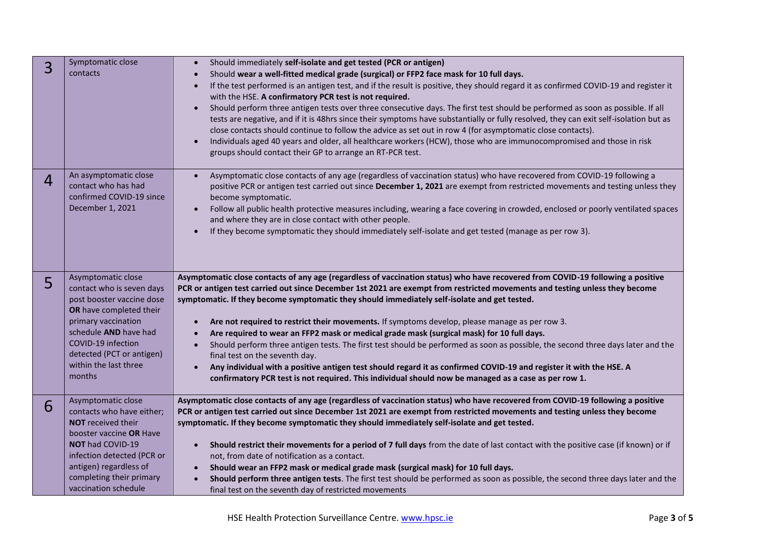| 3              | Symptomatic close<br>contacts                                                                                                                                                                                                                  | Should immediately self-isolate and get tested (PCR or antigen)<br>Should wear a well-fitted medical grade (surgical) or FFP2 face mask for 10 full days.<br>If the test performed is an antigen test, and if the result is positive, they should regard it as confirmed COVID-19 and register it<br>with the HSE. A confirmatory PCR test is not required.<br>Should perform three antigen tests over three consecutive days. The first test should be performed as soon as possible. If all<br>tests are negative, and if it is 48hrs since their symptoms have substantially or fully resolved, they can exit self-isolation but as<br>close contacts should continue to follow the advice as set out in row 4 (for asymptomatic close contacts).<br>Individuals aged 40 years and older, all healthcare workers (HCW), those who are immunocompromised and those in risk<br>$\bullet$<br>groups should contact their GP to arrange an RT-PCR test.                                                  |
|----------------|------------------------------------------------------------------------------------------------------------------------------------------------------------------------------------------------------------------------------------------------|---------------------------------------------------------------------------------------------------------------------------------------------------------------------------------------------------------------------------------------------------------------------------------------------------------------------------------------------------------------------------------------------------------------------------------------------------------------------------------------------------------------------------------------------------------------------------------------------------------------------------------------------------------------------------------------------------------------------------------------------------------------------------------------------------------------------------------------------------------------------------------------------------------------------------------------------------------------------------------------------------------|
| $\overline{4}$ | An asymptomatic close<br>contact who has had<br>confirmed COVID-19 since<br>December 1, 2021                                                                                                                                                   | Asymptomatic close contacts of any age (regardless of vaccination status) who have recovered from COVID-19 following a<br>$\bullet$<br>positive PCR or antigen test carried out since December 1, 2021 are exempt from restricted movements and testing unless they<br>become symptomatic.<br>Follow all public health protective measures including, wearing a face covering in crowded, enclosed or poorly ventilated spaces<br>and where they are in close contact with other people.<br>If they become symptomatic they should immediately self-isolate and get tested (manage as per row 3).                                                                                                                                                                                                                                                                                                                                                                                                       |
| 5              | Asymptomatic close<br>contact who is seven days<br>post booster vaccine dose<br>OR have completed their<br>primary vaccination<br>schedule AND have had<br>COVID-19 infection<br>detected (PCT or antigen)<br>within the last three<br>months  | Asymptomatic close contacts of any age (regardless of vaccination status) who have recovered from COVID-19 following a positive<br>PCR or antigen test carried out since December 1st 2021 are exempt from restricted movements and testing unless they become<br>symptomatic. If they become symptomatic they should immediately self-isolate and get tested.<br>Are not required to restrict their movements. If symptoms develop, please manage as per row 3.<br>$\bullet$<br>Are required to wear an FFP2 mask or medical grade mask (surgical mask) for 10 full days.<br>$\bullet$<br>Should perform three antigen tests. The first test should be performed as soon as possible, the second three days later and the<br>$\bullet$<br>final test on the seventh day.<br>Any individual with a positive antigen test should regard it as confirmed COVID-19 and register it with the HSE. A<br>confirmatory PCR test is not required. This individual should now be managed as a case as per row 1. |
| 6              | Asymptomatic close<br>contacts who have either;<br><b>NOT</b> received their<br>booster vaccine OR Have<br><b>NOT had COVID-19</b><br>infection detected (PCR or<br>antigen) regardless of<br>completing their primary<br>vaccination schedule | Asymptomatic close contacts of any age (regardless of vaccination status) who have recovered from COVID-19 following a positive<br>PCR or antigen test carried out since December 1st 2021 are exempt from restricted movements and testing unless they become<br>symptomatic. If they become symptomatic they should immediately self-isolate and get tested.<br>Should restrict their movements for a period of 7 full days from the date of last contact with the positive case (if known) or if<br>$\bullet$<br>not, from date of notification as a contact.<br>Should wear an FFP2 mask or medical grade mask (surgical mask) for 10 full days.<br>Should perform three antigen tests. The first test should be performed as soon as possible, the second three days later and the<br>final test on the seventh day of restricted movements                                                                                                                                                        |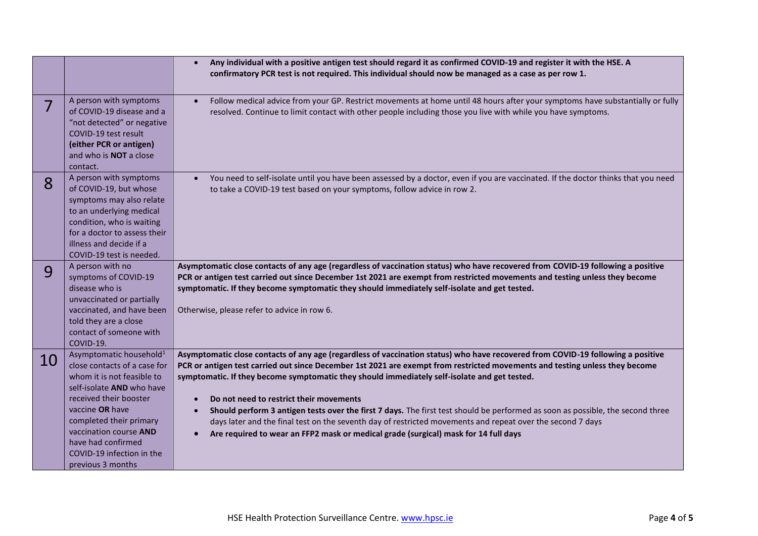|    |                                                                                                                                                                                                                                                                                                                 | Any individual with a positive antigen test should regard it as confirmed COVID-19 and register it with the HSE. A<br>$\bullet$<br>confirmatory PCR test is not required. This individual should now be managed as a case as per row 1.                                                                                                                                                                                                                                                                                                                                                                                                                                                                                                                                    |
|----|-----------------------------------------------------------------------------------------------------------------------------------------------------------------------------------------------------------------------------------------------------------------------------------------------------------------|----------------------------------------------------------------------------------------------------------------------------------------------------------------------------------------------------------------------------------------------------------------------------------------------------------------------------------------------------------------------------------------------------------------------------------------------------------------------------------------------------------------------------------------------------------------------------------------------------------------------------------------------------------------------------------------------------------------------------------------------------------------------------|
|    | A person with symptoms<br>of COVID-19 disease and a<br>"not detected" or negative<br>COVID-19 test result<br>(either PCR or antigen)<br>and who is <b>NOT</b> a close<br>contact.                                                                                                                               | Follow medical advice from your GP. Restrict movements at home until 48 hours after your symptoms have substantially or fully<br>$\bullet$<br>resolved. Continue to limit contact with other people including those you live with while you have symptoms.                                                                                                                                                                                                                                                                                                                                                                                                                                                                                                                 |
| 8  | A person with symptoms<br>of COVID-19, but whose<br>symptoms may also relate<br>to an underlying medical<br>condition, who is waiting<br>for a doctor to assess their<br>illness and decide if a<br>COVID-19 test is needed.                                                                                    | You need to self-isolate until you have been assessed by a doctor, even if you are vaccinated. If the doctor thinks that you need<br>$\bullet$<br>to take a COVID-19 test based on your symptoms, follow advice in row 2.                                                                                                                                                                                                                                                                                                                                                                                                                                                                                                                                                  |
| 9  | A person with no<br>symptoms of COVID-19<br>disease who is<br>unvaccinated or partially<br>vaccinated, and have been<br>told they are a close<br>contact of someone with<br>COVID-19.                                                                                                                           | Asymptomatic close contacts of any age (regardless of vaccination status) who have recovered from COVID-19 following a positive<br>PCR or antigen test carried out since December 1st 2021 are exempt from restricted movements and testing unless they become<br>symptomatic. If they become symptomatic they should immediately self-isolate and get tested.<br>Otherwise, please refer to advice in row 6.                                                                                                                                                                                                                                                                                                                                                              |
| 10 | Asymptomatic household <sup>1</sup><br>close contacts of a case for<br>whom it is not feasible to<br>self-isolate <b>AND</b> who have<br>received their booster<br>vaccine OR have<br>completed their primary<br>vaccination course AND<br>have had confirmed<br>COVID-19 infection in the<br>previous 3 months | Asymptomatic close contacts of any age (regardless of vaccination status) who have recovered from COVID-19 following a positive<br>PCR or antigen test carried out since December 1st 2021 are exempt from restricted movements and testing unless they become<br>symptomatic. If they become symptomatic they should immediately self-isolate and get tested.<br>Do not need to restrict their movements<br>Should perform 3 antigen tests over the first 7 days. The first test should be performed as soon as possible, the second three<br>$\bullet$<br>days later and the final test on the seventh day of restricted movements and repeat over the second 7 days<br>Are required to wear an FFP2 mask or medical grade (surgical) mask for 14 full days<br>$\bullet$ |